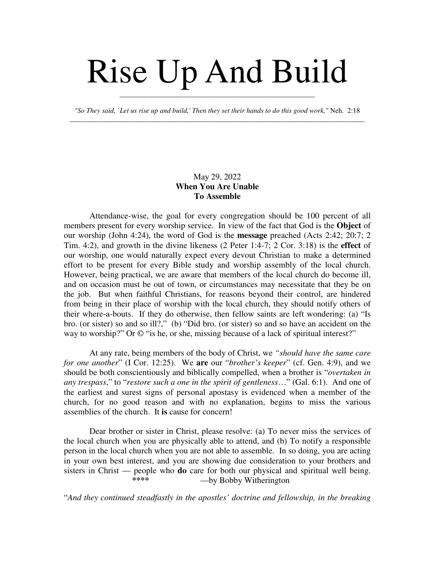## Rise Up And Build

*"So They said, `Let us rise up and build,' Then they set their hands to do this good work,"* Neh. 2:18 \_\_\_\_\_\_\_\_\_\_\_\_\_\_\_\_\_\_\_\_\_\_\_\_\_\_\_\_\_\_\_\_\_\_\_\_\_\_\_\_\_\_\_\_\_\_\_\_\_\_\_\_\_\_\_\_\_\_\_\_\_\_\_\_\_\_\_\_\_\_\_\_\_\_\_\_\_\_\_\_\_\_\_

\_\_\_\_\_\_\_\_\_\_\_\_\_\_\_\_\_\_\_\_\_\_\_\_\_\_\_\_\_\_\_\_\_\_\_\_\_\_\_\_\_\_\_\_\_\_\_\_\_\_\_\_\_\_\_

## May 29, 2022 **When You Are Unable To Assemble**

Attendance-wise, the goal for every congregation should be 100 percent of all members present for every worship service. In view of the fact that God is the **Object** of our worship (John 4:24), the word of God is the **message** preached (Acts 2:42; 20:7; 2 Tim. 4:2), and growth in the divine likeness (2 Peter 1:4-7; 2 Cor. 3:18) is the **effect** of our worship, one would naturally expect every devout Christian to make a determined effort to be present for every Bible study and worship assembly of the local church. However, being practical, we are aware that members of the local church do become ill, and on occasion must be out of town, or circumstances may necessitate that they be on the job. But when faithful Christians, for reasons beyond their control, are hindered from being in their place of worship with the local church, they should notify others of their where-a-bouts. If they do otherwise, then fellow saints are left wondering: (a) "Is bro. (or sister) so and so ill?," (b) "Did bro. (or sister) so and so have an accident on the way to worship?" Or  $\odot$  "is he, or she, missing because of a lack of spiritual interest?"

At any rate, being members of the body of Christ, we *"should have the same care for one another*" (I Cor. 12:25). We **are** our "*brother's keeper*" (cf. Gen. 4:9), and we should be both conscientiously and biblically compelled, when a brother is "*overtaken in any trespass*," to "*restore such a one in the spirit of gentleness*…" (Gal. 6:1). And one of the earliest and surest signs of personal apostasy is evidenced when a member of the church, for no good reason and with no explanation, begins to miss the various assemblies of the church. It **is** cause for concern!

Dear brother or sister in Christ, please resolve: (a) To never miss the services of the local church when you are physically able to attend, and (b) To notify a responsible person in the local church when you are not able to assemble. In so doing, you are acting in your own best interest, and you are showing due consideration to your brothers and sisters in Christ — people who **do** care for both our physical and spiritual well being.<br>
we Bobby Witherington  $-$ by Bobby Witherington

"*And they continued steadfastly in the apostles' doctrine and fellowship, in the breaking*